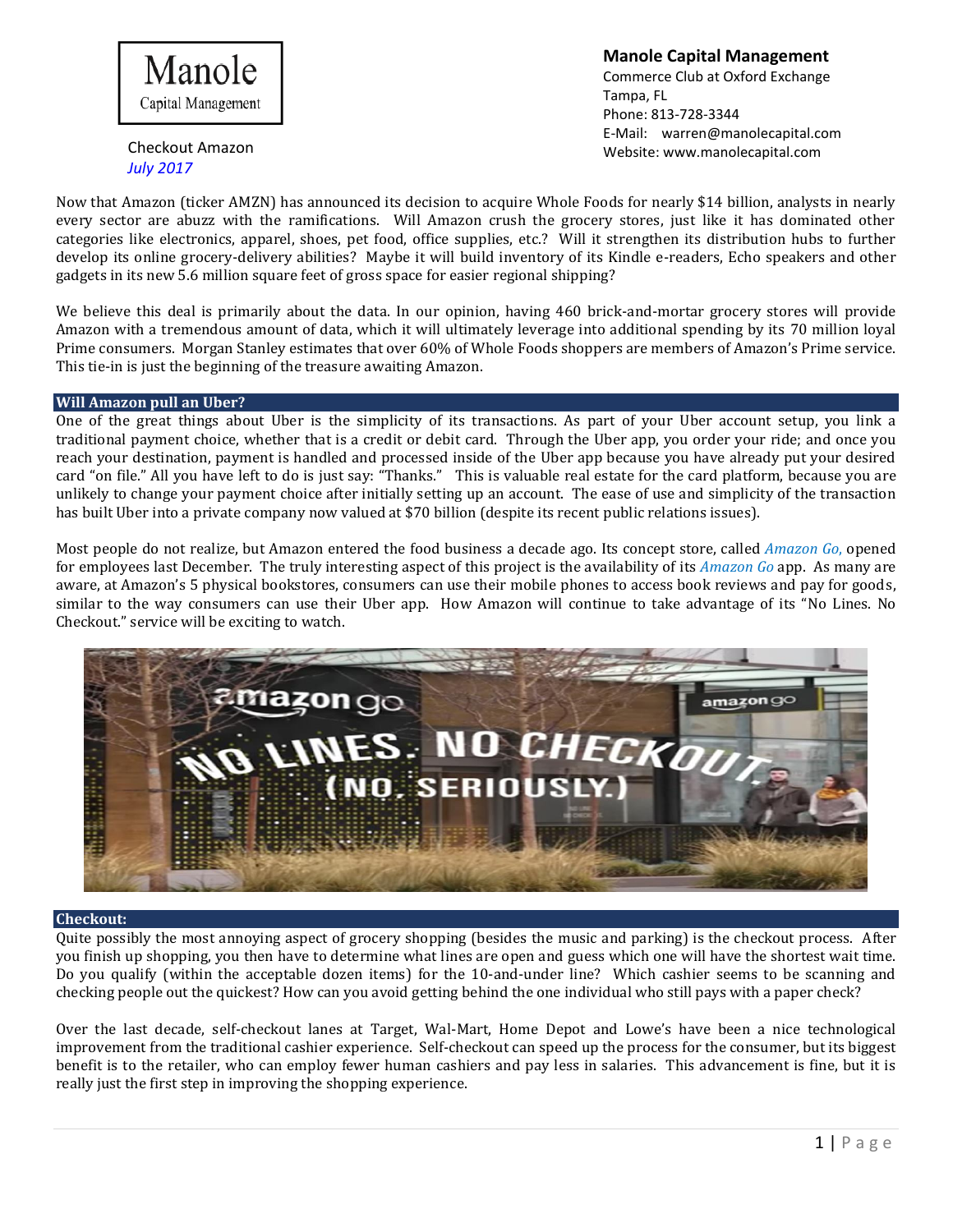

Checkout Amazon *July 2017*

**Manole Capital Management** Commerce Club at Oxford Exchange Tampa, FL Phone: 813-728-3344 E-Mail: [warren@manolecapital.com](mailto:warren@manolecapital.com) Website: [www.manolecapital.com](http://www.manolecapital.com/)

Now that Amazon (ticker AMZN) has announced its decision to acquire Whole Foods for nearly \$14 billion, analysts in nearly every sector are abuzz with the ramifications. Will Amazon crush the grocery stores, just like it has dominated other categories like electronics, apparel, shoes, pet food, office supplies, etc.? Will it strengthen its distribution hubs to further develop its online grocery-delivery abilities? Maybe it will build inventory of its Kindle e-readers, Echo speakers and other gadgets in its new 5.6 million square feet of gross space for easier regional shipping?

We believe this deal is primarily about the data. In our opinion, having 460 brick-and-mortar grocery stores will provide Amazon with a tremendous amount of data, which it will ultimately leverage into additional spending by its 70 million loyal Prime consumers. Morgan Stanley estimates that over 60% of Whole Foods shoppers are members of Amazon's Prime service. This tie-in is just the beginning of the treasure awaiting Amazon.

# **Will Amazon pull an Uber?**

One of the great things about Uber is the simplicity of its transactions. As part of your Uber account setup, you link a traditional payment choice, whether that is a credit or debit card. Through the Uber app, you order your ride; and once you reach your destination, payment is handled and processed inside of the Uber app because you have already put your desired card "on file." All you have left to do is just say: "Thanks." This is valuable real estate for the card platform, because you are unlikely to change your payment choice after initially setting up an account. The ease of use and simplicity of the transaction has built Uber into a private company now valued at \$70 billion (despite its recent public relations issues).

Most people do not realize, but Amazon entered the food business a decade ago. Its concept store, called *Amazon Go*, opened for employees last December. The truly interesting aspect of this project is the availability of its *Amazon Go* app. As many are aware, at Amazon's 5 physical bookstores, consumers can use their mobile phones to access book reviews and pay for goods, similar to the way consumers can use their Uber app. How Amazon will continue to take advantage of its "No Lines. No Checkout." service will be exciting to watch.



### **Checkout:**

Quite possibly the most annoying aspect of grocery shopping (besides the music and parking) is the checkout process. After you finish up shopping, you then have to determine what lines are open and guess which one will have the shortest wait time. Do you qualify (within the acceptable dozen items) for the 10-and-under line? Which cashier seems to be scanning and checking people out the quickest? How can you avoid getting behind the one individual who still pays with a paper check?

Over the last decade, self-checkout lanes at Target, Wal-Mart, Home Depot and Lowe's have been a nice technological improvement from the traditional cashier experience. Self-checkout can speed up the process for the consumer, but its biggest benefit is to the retailer, who can employ fewer human cashiers and pay less in salaries. This advancement is fine, but it is really just the first step in improving the shopping experience.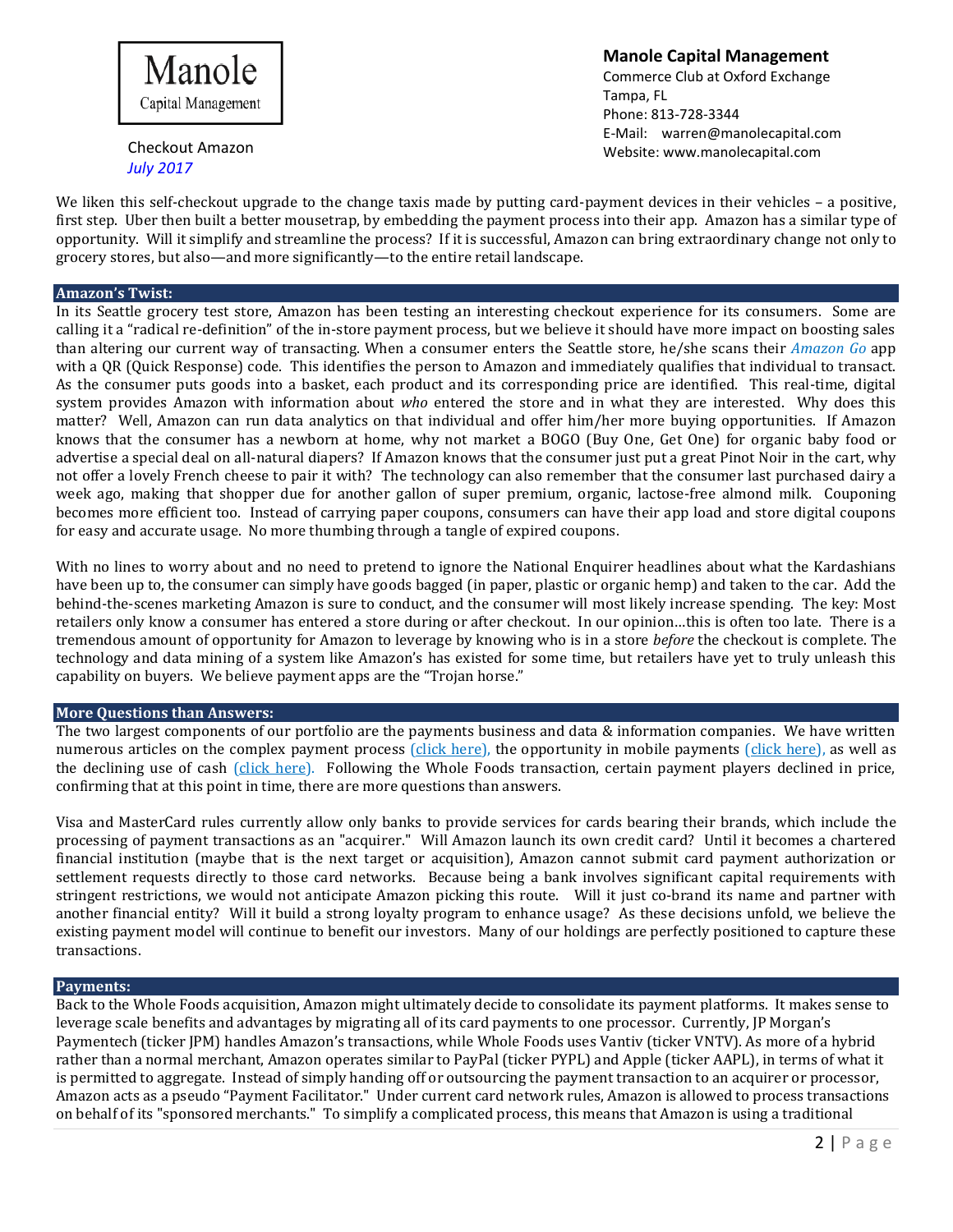

Checkout Amazon *July 2017*

**Manole Capital Management** Commerce Club at Oxford Exchange Tampa, FL Phone: 813-728-3344 E-Mail: [warren@manolecapital.com](mailto:warren@manolecapital.com) Website: [www.manolecapital.com](http://www.manolecapital.com/)

We liken this self-checkout upgrade to the change taxis made by putting card-payment devices in their vehicles – a positive, first step. Uber then built a better mousetrap, by embedding the payment process into their app. Amazon has a similar type of opportunity. Will it simplify and streamline the process? If it is successful, Amazon can bring extraordinary change not only to grocery stores, but also—and more significantly—to the entire retail landscape.

### **Amazon's Twist:**

In its Seattle grocery test store, Amazon has been testing an interesting checkout experience for its consumers. Some are calling it a "radical re-definition" of the in-store payment process, but we believe it should have more impact on boosting sales than altering our current way of transacting. When a consumer enters the Seattle store, he/she scans their *Amazon Go* app with a QR (Quick Response) code. This identifies the person to Amazon and immediately qualifies that individual to transact. As the consumer puts goods into a basket, each product and its corresponding price are identified. This real-time, digital system provides Amazon with information about *who* entered the store and in what they are interested. Why does this matter? Well, Amazon can run data analytics on that individual and offer him/her more buying opportunities. If Amazon knows that the consumer has a newborn at home, why not market a BOGO (Buy One, Get One) for organic baby food or advertise a special deal on all-natural diapers? If Amazon knows that the consumer just put a great Pinot Noir in the cart, why not offer a lovely French cheese to pair it with? The technology can also remember that the consumer last purchased dairy a week ago, making that shopper due for another gallon of super premium, organic, lactose-free almond milk. Couponing becomes more efficient too. Instead of carrying paper coupons, consumers can have their app load and store digital coupons for easy and accurate usage. No more thumbing through a tangle of expired coupons.

With no lines to worry about and no need to pretend to ignore the National Enquirer headlines about what the Kardashians have been up to, the consumer can simply have goods bagged (in paper, plastic or organic hemp) and taken to the car. Add the behind-the-scenes marketing Amazon is sure to conduct, and the consumer will most likely increase spending. The key: Most retailers only know a consumer has entered a store during or after checkout. In our opinion…this is often too late. There is a tremendous amount of opportunity for Amazon to leverage by knowing who is in a store *before* the checkout is complete. The technology and data mining of a system like Amazon's has existed for some time, but retailers have yet to truly unleash this capability on buyers. We believe payment apps are the "Trojan horse."

### **More Questions than Answers:**

The two largest components of our portfolio are the payments business and data & information companies. We have written numerous articles on the complex payment process [\(click here\)](https://docs.wixstatic.com/ugd/43315f_2d5dc3c3cadd40dbaae6031e3678dc7f.pdf), the opportunity in mobile payments (click here), as well as the declining use of cash [\(click here\)](https://docs.wixstatic.com/ugd/43315f_0dd37796a6584165b7be3af3f9e28a76.pdf). Following the Whole Foods transaction, certain payment players declined in price, confirming that at this point in time, there are more questions than answers.

Visa and MasterCard rules currently allow only banks to provide services for cards bearing their brands, which include the processing of payment transactions as an "acquirer." Will Amazon launch its own credit card? Until it becomes a chartered financial institution (maybe that is the next target or acquisition), Amazon cannot submit card payment authorization or settlement requests directly to those card networks. Because being a bank involves significant capital requirements with stringent restrictions, we would not anticipate Amazon picking this route. Will it just co-brand its name and partner with another financial entity? Will it build a strong loyalty program to enhance usage? As these decisions unfold, we believe the existing payment model will continue to benefit our investors. Many of our holdings are perfectly positioned to capture these transactions.

#### **Payments:**

Back to the Whole Foods acquisition, Amazon might ultimately decide to consolidate its payment platforms. It makes sense to leverage scale benefits and advantages by migrating all of its card payments to one processor. Currently, JP Morgan's Paymentech (ticker JPM) handles Amazon's transactions, while Whole Foods uses Vantiv (ticker VNTV). As more of a hybrid rather than a normal merchant, Amazon operates similar to PayPal (ticker PYPL) and Apple (ticker AAPL), in terms of what it is permitted to aggregate. Instead of simply handing off or outsourcing the payment transaction to an acquirer or processor, Amazon acts as a pseudo "Payment Facilitator." Under current card network rules, Amazon is allowed to process transactions on behalf of its "sponsored merchants." To simplify a complicated process, this means that Amazon is using a traditional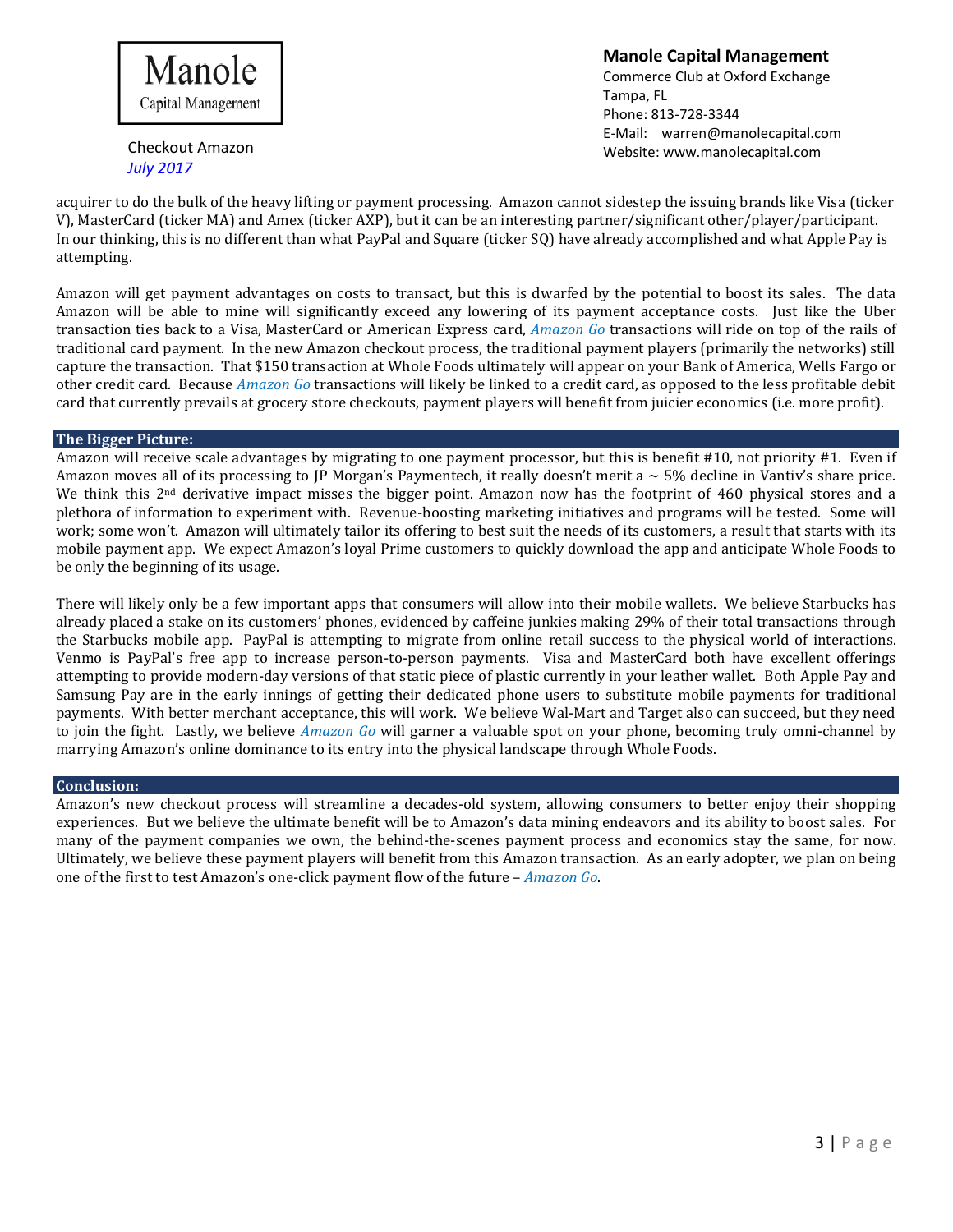

**Manole Capital Management** Commerce Club at Oxford Exchange

Checkout Amazon *July 2017*

Tampa, FL Phone: 813-728-3344 E-Mail: [warren@manolecapital.com](mailto:warren@manolecapital.com) Website: [www.manolecapital.com](http://www.manolecapital.com/)

acquirer to do the bulk of the heavy lifting or payment processing. Amazon cannot sidestep the issuing brands like Visa (ticker V), MasterCard (ticker MA) and Amex (ticker AXP), but it can be an interesting partner/significant other/player/participant. In our thinking, this is no different than what PayPal and Square (ticker SQ) have already accomplished and what Apple Pay is attempting.

Amazon will get payment advantages on costs to transact, but this is dwarfed by the potential to boost its sales. The data Amazon will be able to mine will significantly exceed any lowering of its payment acceptance costs. Just like the Uber transaction ties back to a Visa, MasterCard or American Express card, *Amazon Go* transactions will ride on top of the rails of traditional card payment. In the new Amazon checkout process, the traditional payment players (primarily the networks) still capture the transaction. That \$150 transaction at Whole Foods ultimately will appear on your Bank of America, Wells Fargo or other credit card. Because *Amazon Go* transactions will likely be linked to a credit card, as opposed to the less profitable debit card that currently prevails at grocery store checkouts, payment players will benefit from juicier economics (i.e. more profit).

# **The Bigger Picture:**

Amazon will receive scale advantages by migrating to one payment processor, but this is benefit #10, not priority #1. Even if Amazon moves all of its processing to JP Morgan's Paymentech, it really doesn't merit a  $\sim$  5% decline in Vantiv's share price. We think this  $2<sup>nd</sup>$  derivative impact misses the bigger point. Amazon now has the footprint of 460 physical stores and a plethora of information to experiment with. Revenue-boosting marketing initiatives and programs will be tested. Some will work; some won't. Amazon will ultimately tailor its offering to best suit the needs of its customers, a result that starts with its mobile payment app. We expect Amazon's loyal Prime customers to quickly download the app and anticipate Whole Foods to be only the beginning of its usage.

There will likely only be a few important apps that consumers will allow into their mobile wallets. We believe Starbucks has already placed a stake on its customers' phones, evidenced by caffeine junkies making 29% of their total transactions through the Starbucks mobile app. PayPal is attempting to migrate from online retail success to the physical world of interactions. Venmo is PayPal's free app to increase person-to-person payments. Visa and MasterCard both have excellent offerings attempting to provide modern-day versions of that static piece of plastic currently in your leather wallet. Both Apple Pay and Samsung Pay are in the early innings of getting their dedicated phone users to substitute mobile payments for traditional payments. With better merchant acceptance, this will work. We believe Wal-Mart and Target also can succeed, but they need to join the fight. Lastly, we believe *Amazon Go* will garner a valuable spot on your phone, becoming truly omni-channel by marrying Amazon's online dominance to its entry into the physical landscape through Whole Foods.

# **Conclusion:**

Amazon's new checkout process will streamline a decades-old system, allowing consumers to better enjoy their shopping experiences. But we believe the ultimate benefit will be to Amazon's data mining endeavors and its ability to boost sales. For many of the payment companies we own, the behind-the-scenes payment process and economics stay the same, for now. Ultimately, we believe these payment players will benefit from this Amazon transaction. As an early adopter, we plan on being one of the first to test Amazon's one-click payment flow of the future – *Amazon Go*.